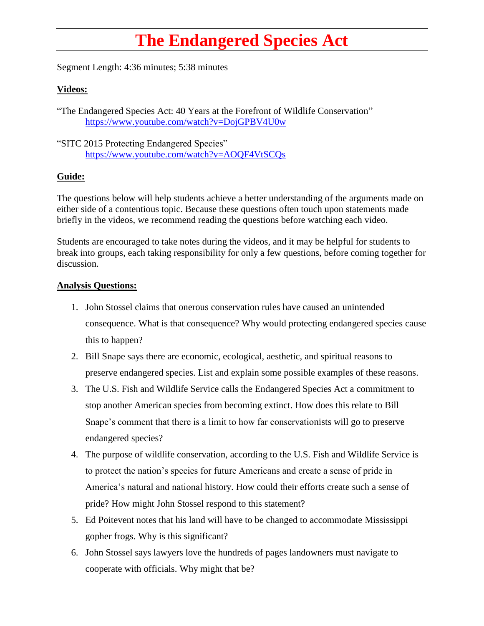## **The Endangered Species Act**

Segment Length: 4:36 minutes; 5:38 minutes

## **Videos:**

"The Endangered Species Act: 40 Years at the Forefront of Wildlife Conservation" <https://www.youtube.com/watch?v=DojGPBV4U0w>

"SITC 2015 Protecting Endangered Species" <https://www.youtube.com/watch?v=AOQF4VtSCQs>

## **Guide:**

The questions below will help students achieve a better understanding of the arguments made on either side of a contentious topic. Because these questions often touch upon statements made briefly in the videos, we recommend reading the questions before watching each video.

Students are encouraged to take notes during the videos, and it may be helpful for students to break into groups, each taking responsibility for only a few questions, before coming together for discussion.

## **Analysis Questions:**

- 1. John Stossel claims that onerous conservation rules have caused an unintended consequence. What is that consequence? Why would protecting endangered species cause this to happen?
- 2. Bill Snape says there are economic, ecological, aesthetic, and spiritual reasons to preserve endangered species. List and explain some possible examples of these reasons.
- 3. The U.S. Fish and Wildlife Service calls the Endangered Species Act a commitment to stop another American species from becoming extinct. How does this relate to Bill Snape's comment that there is a limit to how far conservationists will go to preserve endangered species?
- 4. The purpose of wildlife conservation, according to the U.S. Fish and Wildlife Service is to protect the nation's species for future Americans and create a sense of pride in America's natural and national history. How could their efforts create such a sense of pride? How might John Stossel respond to this statement?
- 5. Ed Poitevent notes that his land will have to be changed to accommodate Mississippi gopher frogs. Why is this significant?
- 6. John Stossel says lawyers love the hundreds of pages landowners must navigate to cooperate with officials. Why might that be?